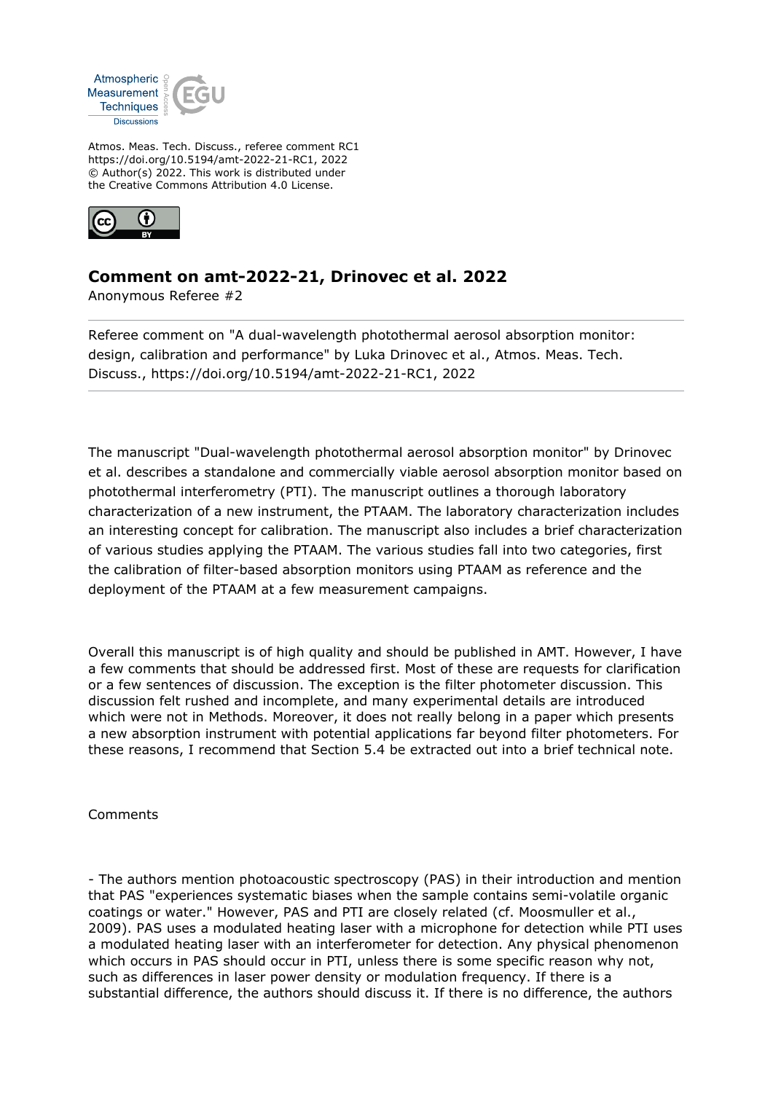

Atmos. Meas. Tech. Discuss., referee comment RC1 https://doi.org/10.5194/amt-2022-21-RC1, 2022 © Author(s) 2022. This work is distributed under the Creative Commons Attribution 4.0 License.



## **Comment on amt-2022-21, Drinovec et al. 2022**

Anonymous Referee #2

Referee comment on "A dual-wavelength photothermal aerosol absorption monitor: design, calibration and performance" by Luka Drinovec et al., Atmos. Meas. Tech. Discuss., https://doi.org/10.5194/amt-2022-21-RC1, 2022

The manuscript "Dual-wavelength photothermal aerosol absorption monitor" by Drinovec et al. describes a standalone and commercially viable aerosol absorption monitor based on photothermal interferometry (PTI). The manuscript outlines a thorough laboratory characterization of a new instrument, the PTAAM. The laboratory characterization includes an interesting concept for calibration. The manuscript also includes a brief characterization of various studies applying the PTAAM. The various studies fall into two categories, first the calibration of filter-based absorption monitors using PTAAM as reference and the deployment of the PTAAM at a few measurement campaigns.

Overall this manuscript is of high quality and should be published in AMT. However, I have a few comments that should be addressed first. Most of these are requests for clarification or a few sentences of discussion. The exception is the filter photometer discussion. This discussion felt rushed and incomplete, and many experimental details are introduced which were not in Methods. Moreover, it does not really belong in a paper which presents a new absorption instrument with potential applications far beyond filter photometers. For these reasons, I recommend that Section 5.4 be extracted out into a brief technical note.

Comments

- The authors mention photoacoustic spectroscopy (PAS) in their introduction and mention that PAS "experiences systematic biases when the sample contains semi-volatile organic coatings or water." However, PAS and PTI are closely related (cf. Moosmuller et al., 2009). PAS uses a modulated heating laser with a microphone for detection while PTI uses a modulated heating laser with an interferometer for detection. Any physical phenomenon which occurs in PAS should occur in PTI, unless there is some specific reason why not, such as differences in laser power density or modulation frequency. If there is a substantial difference, the authors should discuss it. If there is no difference, the authors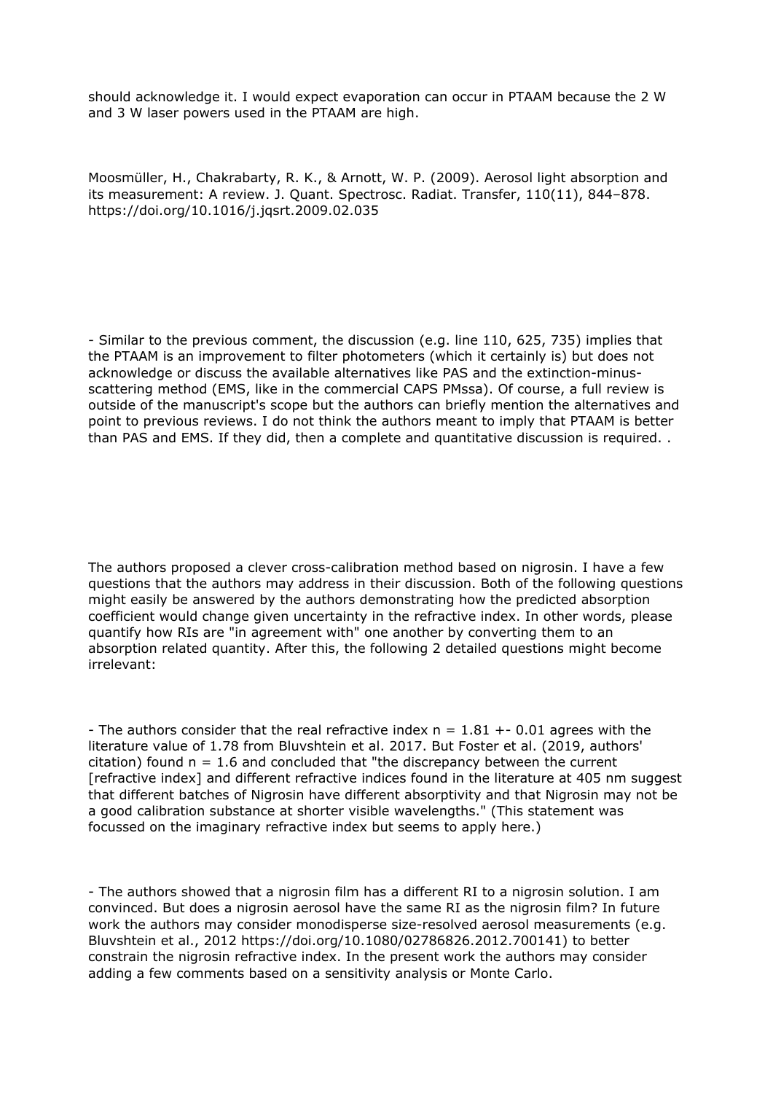should acknowledge it. I would expect evaporation can occur in PTAAM because the 2 W and 3 W laser powers used in the PTAAM are high.

Moosmüller, H., Chakrabarty, R. K., & Arnott, W. P. (2009). Aerosol light absorption and its measurement: A review. J. Quant. Spectrosc. Radiat. Transfer, 110(11), 844–878. https://doi.org/10.1016/j.jqsrt.2009.02.035

- Similar to the previous comment, the discussion (e.g. line 110, 625, 735) implies that the PTAAM is an improvement to filter photometers (which it certainly is) but does not acknowledge or discuss the available alternatives like PAS and the extinction-minusscattering method (EMS, like in the commercial CAPS PMssa). Of course, a full review is outside of the manuscript's scope but the authors can briefly mention the alternatives and point to previous reviews. I do not think the authors meant to imply that PTAAM is better than PAS and EMS. If they did, then a complete and quantitative discussion is required. .

The authors proposed a clever cross-calibration method based on nigrosin. I have a few questions that the authors may address in their discussion. Both of the following questions might easily be answered by the authors demonstrating how the predicted absorption coefficient would change given uncertainty in the refractive index. In other words, please quantify how RIs are "in agreement with" one another by converting them to an absorption related quantity. After this, the following 2 detailed questions might become irrelevant:

- The authors consider that the real refractive index  $n = 1.81 + 0.01$  agrees with the literature value of 1.78 from Bluvshtein et al. 2017. But Foster et al. (2019, authors' citation) found  $n = 1.6$  and concluded that "the discrepancy between the current [refractive index] and different refractive indices found in the literature at 405 nm suggest that different batches of Nigrosin have different absorptivity and that Nigrosin may not be a good calibration substance at shorter visible wavelengths." (This statement was focussed on the imaginary refractive index but seems to apply here.)

- The authors showed that a nigrosin film has a different RI to a nigrosin solution. I am convinced. But does a nigrosin aerosol have the same RI as the nigrosin film? In future work the authors may consider monodisperse size-resolved aerosol measurements (e.g. Bluvshtein et al., 2012 https://doi.org/10.1080/02786826.2012.700141) to better constrain the nigrosin refractive index. In the present work the authors may consider adding a few comments based on a sensitivity analysis or Monte Carlo.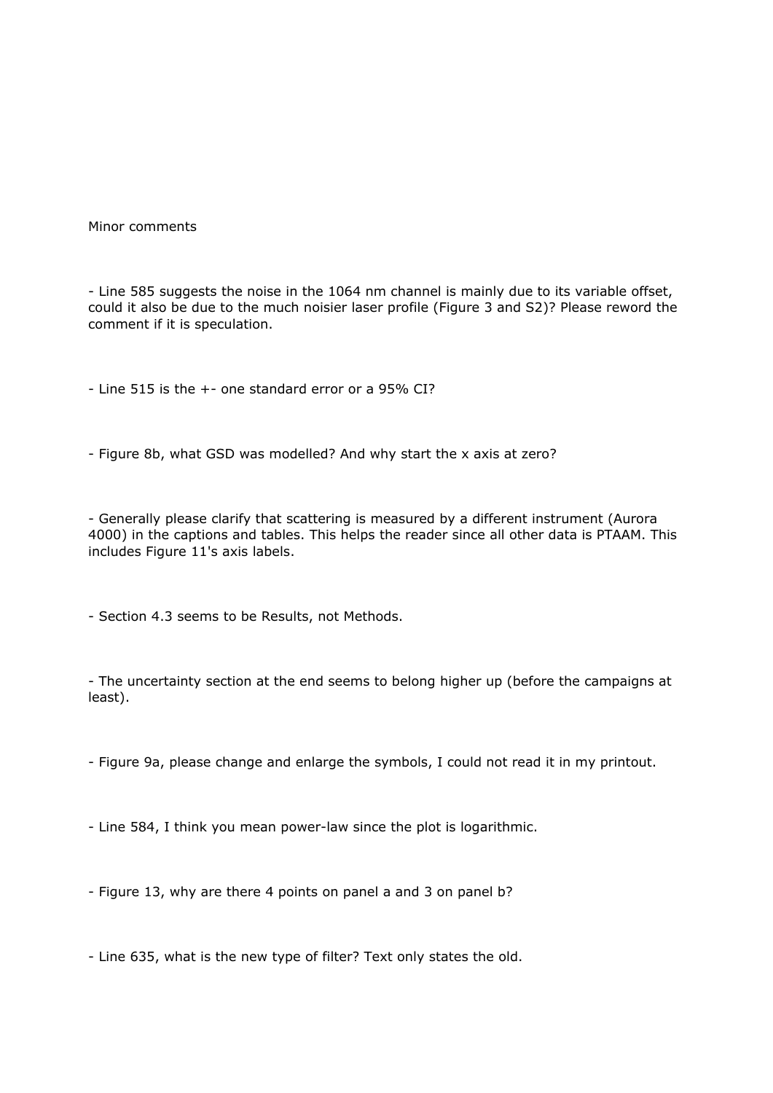Minor comments

- Line 585 suggests the noise in the 1064 nm channel is mainly due to its variable offset, could it also be due to the much noisier laser profile (Figure 3 and S2)? Please reword the comment if it is speculation.

- Line 515 is the +- one standard error or a 95% CI?

- Figure 8b, what GSD was modelled? And why start the x axis at zero?

- Generally please clarify that scattering is measured by a different instrument (Aurora 4000) in the captions and tables. This helps the reader since all other data is PTAAM. This includes Figure 11's axis labels.

- Section 4.3 seems to be Results, not Methods.

- The uncertainty section at the end seems to belong higher up (before the campaigns at least).

- Figure 9a, please change and enlarge the symbols, I could not read it in my printout.

- Line 584, I think you mean power-law since the plot is logarithmic.

- Figure 13, why are there 4 points on panel a and 3 on panel b?

- Line 635, what is the new type of filter? Text only states the old.